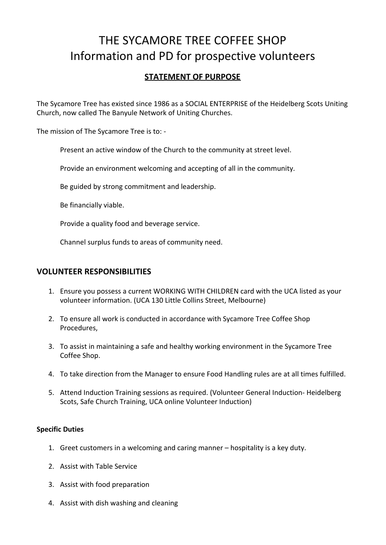# THE SYCAMORE TREE COFFEE SHOP Information and PD for prospective volunteers

# **STATEMENT OF PURPOSE**

The Sycamore Tree has existed since 1986 as a SOCIAL ENTERPRISE of the Heidelberg Scots Uniting Church, now called The Banyule Network of Uniting Churches.

The mission of The Sycamore Tree is to: -

Present an active window of the Church to the community at street level.

Provide an environment welcoming and accepting of all in the community.

Be guided by strong commitment and leadership.

Be financially viable.

Provide a quality food and beverage service.

Channel surplus funds to areas of community need.

## **VOLUNTEER RESPONSIBILITIES**

- 1. Ensure you possess a current WORKING WITH CHILDREN card with the UCA listed as your volunteer information. (UCA 130 Little Collins Street, Melbourne)
- 2. To ensure all work is conducted in accordance with Sycamore Tree Coffee Shop Procedures,
- 3. To assist in maintaining a safe and healthy working environment in the Sycamore Tree Coffee Shop.
- 4. To take direction from the Manager to ensure Food Handling rules are at all times fulfilled.
- 5. Attend Induction Training sessions as required. (Volunteer General Induction- Heidelberg Scots, Safe Church Training, UCA online Volunteer Induction)

## **Specific Duties**

- 1. Greet customers in a welcoming and caring manner hospitality is a key duty.
- 2. Assist with Table Service
- 3. Assist with food preparation
- 4. Assist with dish washing and cleaning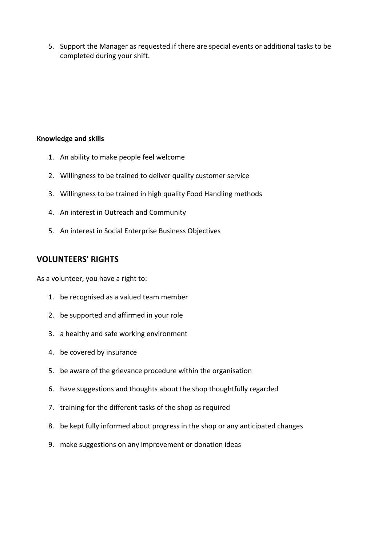5. Support the Manager as requested if there are special events or additional tasks to be completed during your shift.

#### **Knowledge and skills**

- 1. An ability to make people feel welcome
- 2. Willingness to be trained to deliver quality customer service
- 3. Willingness to be trained in high quality Food Handling methods
- 4. An interest in Outreach and Community
- 5. An interest in Social Enterprise Business Objectives

## **VOLUNTEERS' RIGHTS**

As a volunteer, you have a right to:

- 1. be recognised as a valued team member
- 2. be supported and affirmed in your role
- 3. a healthy and safe working environment
- 4. be covered by insurance
- 5. be aware of the grievance procedure within the organisation
- 6. have suggestions and thoughts about the shop thoughtfully regarded
- 7. training for the different tasks of the shop as required
- 8. be kept fully informed about progress in the shop or any anticipated changes
- 9. make suggestions on any improvement or donation ideas